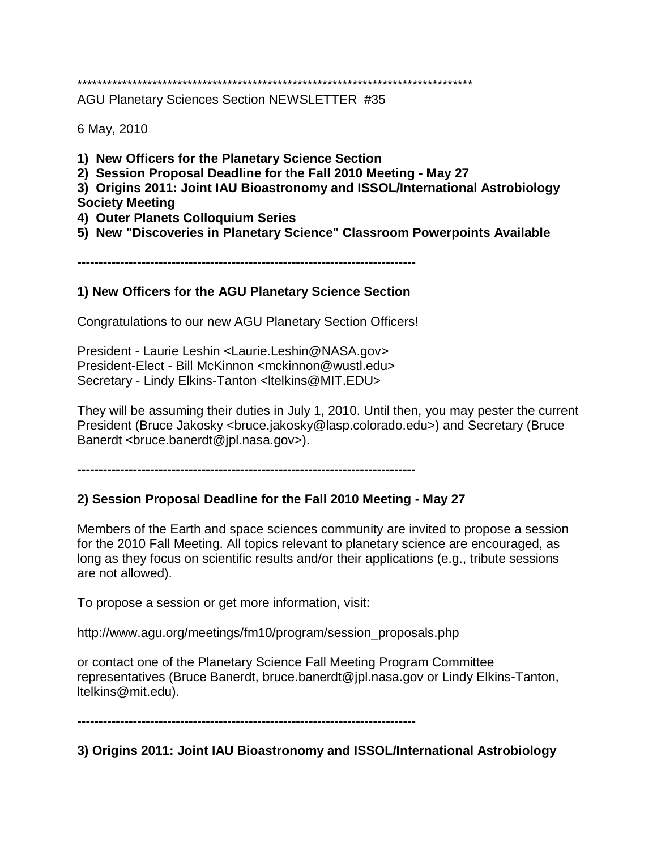\*\*\*\*\*\*\*\*\*\*\*\*\*\*\*\*\*\*\*\*\*\*\*\*\*\*\*\*\*\*\*\*\*\*\*\*\*\*\*\*\*\*\*\*\*\*\*\*\*\*\*\*\*\*\*\*\*\*\*\*\*\*\*\*\*\*\*\*\*\*\*\*\*\*\*\*\*\*\*

AGU Planetary Sciences Section NEWSLETTER #35

6 May, 2010

- **1) New Officers for the Planetary Science Section**
- **2) Session Proposal Deadline for the Fall 2010 Meeting - May 27**
- **3) Origins 2011: Joint IAU Bioastronomy and ISSOL/International Astrobiology Society Meeting**
- **4) Outer Planets Colloquium Series**
- **5) New "Discoveries in Planetary Science" Classroom Powerpoints Available**

**-------------------------------------------------------------------------------**

### **1) New Officers for the AGU Planetary Science Section**

Congratulations to our new AGU Planetary Section Officers!

President - Laurie Leshin <Laurie.Leshin@NASA.gov> President-Elect - Bill McKinnon <mckinnon@wustl.edu> Secretary - Lindy Elkins-Tanton <ltelkins@MIT.EDU>

They will be assuming their duties in July 1, 2010. Until then, you may pester the current President (Bruce Jakosky <bruce.jakosky@lasp.colorado.edu>) and Secretary (Bruce Banerdt <bruce.banerdt@jpl.nasa.gov>).

**-------------------------------------------------------------------------------**

# **2) Session Proposal Deadline for the Fall 2010 Meeting - May 27**

Members of the Earth and space sciences community are invited to propose a session for the 2010 Fall Meeting. All topics relevant to planetary science are encouraged, as long as they focus on scientific results and/or their applications (e.g., tribute sessions are not allowed).

To propose a session or get more information, visit:

http://www.agu.org/meetings/fm10/program/session\_proposals.php

or contact one of the Planetary Science Fall Meeting Program Committee representatives (Bruce Banerdt, bruce.banerdt@jpl.nasa.gov or Lindy Elkins-Tanton, ltelkins@mit.edu).

**-------------------------------------------------------------------------------**

# **3) Origins 2011: Joint IAU Bioastronomy and ISSOL/International Astrobiology**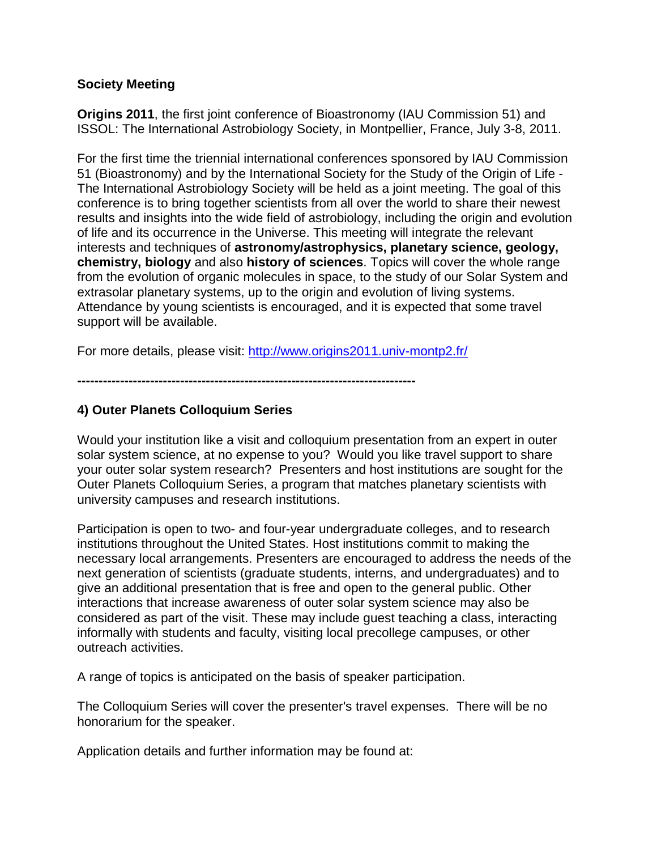### **Society Meeting**

**Origins 2011**, the first joint conference of Bioastronomy (IAU Commission 51) and ISSOL: The International Astrobiology Society, in Montpellier, France, July 3-8, 2011.

For the first time the triennial international conferences sponsored by IAU Commission 51 (Bioastronomy) and by the International Society for the Study of the Origin of Life - The International Astrobiology Society will be held as a joint meeting. The goal of this conference is to bring together scientists from all over the world to share their newest results and insights into the wide field of astrobiology, including the origin and evolution of life and its occurrence in the Universe. This meeting will integrate the relevant interests and techniques of **astronomy/astrophysics, planetary science, geology, chemistry, biology** and also **history of sciences**. Topics will cover the whole range from the evolution of organic molecules in space, to the study of our Solar System and extrasolar planetary systems, up to the origin and evolution of living systems. Attendance by young scientists is encouraged, and it is expected that some travel support will be available.

For more details, please visit:<http://www.origins2011.univ-montp2.fr/>

**-------------------------------------------------------------------------------**

# **4) Outer Planets Colloquium Series**

Would your institution like a visit and colloquium presentation from an expert in outer solar system science, at no expense to you? Would you like travel support to share your outer solar system research? Presenters and host institutions are sought for the Outer Planets Colloquium Series, a program that matches planetary scientists with university campuses and research institutions.

Participation is open to two- and four-year undergraduate colleges, and to research institutions throughout the United States. Host institutions commit to making the necessary local arrangements. Presenters are encouraged to address the needs of the next generation of scientists (graduate students, interns, and undergraduates) and to give an additional presentation that is free and open to the general public. Other interactions that increase awareness of outer solar system science may also be considered as part of the visit. These may include guest teaching a class, interacting informally with students and faculty, visiting local precollege campuses, or other outreach activities.

A range of topics is anticipated on the basis of speaker participation.

The Colloquium Series will cover the presenter's travel expenses. There will be no honorarium for the speaker.

Application details and further information may be found at: